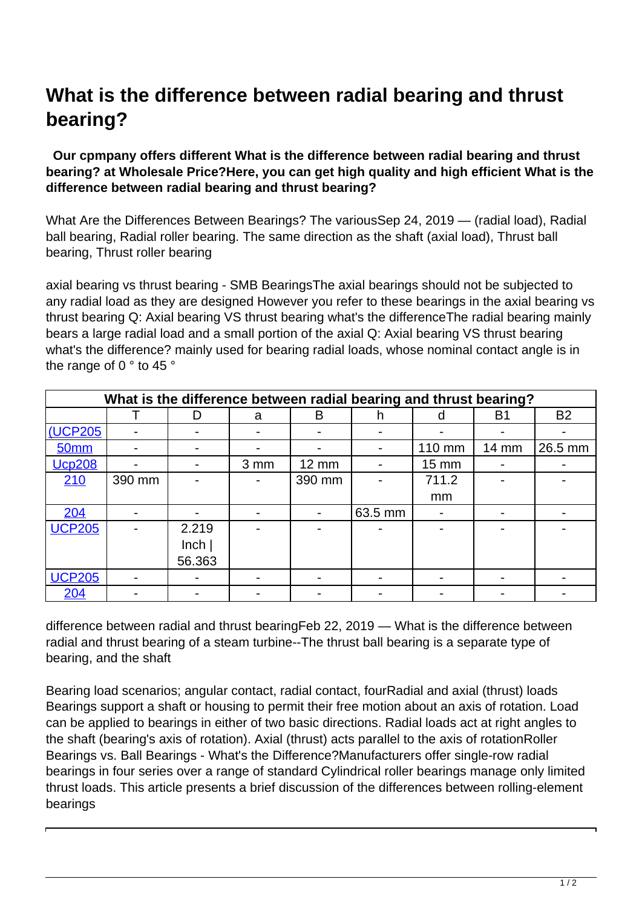## **What is the difference between radial bearing and thrust bearing?**

## **Our cpmpany offers different What is the difference between radial bearing and thrust bearing? at Wholesale Price?Here, you can get high quality and high efficient What is the difference between radial bearing and thrust bearing?**

What Are the Differences Between Bearings? The variousSep 24, 2019 — (radial load), Radial ball bearing, Radial roller bearing. The same direction as the shaft (axial load), Thrust ball bearing, Thrust roller bearing

axial bearing vs thrust bearing - SMB BearingsThe axial bearings should not be subjected to any radial load as they are designed However you refer to these bearings in the axial bearing vs thrust bearing Q: Axial bearing VS thrust bearing what's the differenceThe radial bearing mainly bears a large radial load and a small portion of the axial Q: Axial bearing VS thrust bearing what's the difference? mainly used for bearing radial loads, whose nominal contact angle is in the range of 0 ° to 45 °

| What is the difference between radial bearing and thrust bearing? |                          |        |                 |              |         |        |           |           |  |  |
|-------------------------------------------------------------------|--------------------------|--------|-----------------|--------------|---------|--------|-----------|-----------|--|--|
|                                                                   |                          | D      | a               | B            | h       | d      | <b>B1</b> | <b>B2</b> |  |  |
| <b>(UCP205)</b>                                                   |                          |        |                 |              |         |        |           |           |  |  |
| <b>50mm</b>                                                       |                          |        |                 |              |         | 110 mm | 14 mm     | 26.5 mm   |  |  |
| <b>Ucp208</b>                                                     |                          |        | 3 <sub>mm</sub> | <b>12 mm</b> |         | 15 mm  |           |           |  |  |
| 210                                                               | 390 mm                   |        |                 | 390 mm       |         | 711.2  |           |           |  |  |
|                                                                   |                          |        |                 |              |         | mm     |           |           |  |  |
| 204                                                               |                          |        |                 |              | 63.5 mm |        |           |           |  |  |
| <b>UCP205</b>                                                     |                          | 2.219  |                 |              |         |        |           |           |  |  |
|                                                                   |                          | lnch   |                 |              |         |        |           |           |  |  |
|                                                                   |                          | 56.363 |                 |              |         |        |           |           |  |  |
| <b>UCP205</b>                                                     | $\overline{\phantom{0}}$ |        |                 |              |         |        |           |           |  |  |
| 204                                                               |                          |        |                 |              |         |        |           |           |  |  |

difference between radial and thrust bearingFeb 22, 2019 — What is the difference between radial and thrust bearing of a steam turbine--The thrust ball bearing is a separate type of bearing, and the shaft

Bearing load scenarios; angular contact, radial contact, fourRadial and axial (thrust) loads Bearings support a shaft or housing to permit their free motion about an axis of rotation. Load can be applied to bearings in either of two basic directions. Radial loads act at right angles to the shaft (bearing's axis of rotation). Axial (thrust) acts parallel to the axis of rotationRoller Bearings vs. Ball Bearings - What's the Difference?Manufacturers offer single-row radial bearings in four series over a range of standard Cylindrical roller bearings manage only limited thrust loads. This article presents a brief discussion of the differences between rolling-element bearings